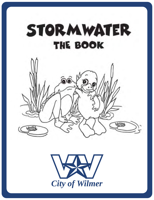



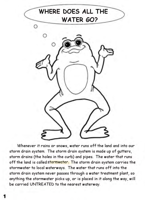

Whenever it rains or snows, water runs off the land and into our storm drain system. The storm drain system is made up of gutters, storm drains (the holes in the curb) and pipes. The water that runs off the land is called stormwater. The storm drain system carries the stormwater to local waterways. The water that runs off into the storm drain system never passes through a water treatment plant, so anything the stormwater picks up, or is placed in it along the way, will be carried UNTREATED to the nearest waterway.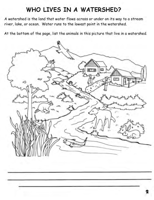### WHO LIVES IN A WATERSHED?

A watershed is the land that water flows across or under on its way to a stream river, lake, or ocean. Water runs to the lowest point in the watershed.

At the bottom of the page, list the animals in this picture that live in a watershed.

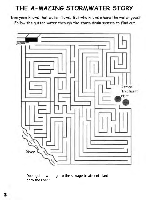### THE A-MAZING STORMWATER STORY

Everyone knows that water flows. But who knows where the water goes? Follow the gutter water through the storm drain system to find out.



Does gutter water go to the sewage treatment plant or to the river?\_\_\_\_\_\_\_\_\_\_\_\_\_\_\_\_\_\_\_\_\_\_\_\_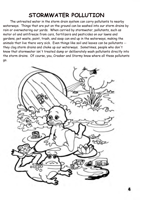### **STORMWATER POLLUTION**

The untreated water in the storm drain system can carry pollutants to nearby waterways. Things that are put on the ground can be washed into our storm drains by rain or overwatering our yards. When carried by stormwater, pollutants, such as motor oil and antifreeze from cars, fertilizers and pesticides on our lawns and gardens, pet waste, paint, trash, and soap can end up in the waterways, making the animals that live there very sick. Even things like soil and leaves can be pollutants - they clog storm drains and choke up our waterways. Sometimes, people who don't know that stormwater isn't treated dump or deliberately wash pollutants directly into the storm drains. Of course, you, Croaker and Stormy know where all these pollutants go.

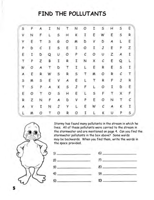### FIND THE POLLUTANTS

| 5  | p  | A  | I | N | Τ. | N  | 0          | Ι. | s | н | \$           | E  |
|----|----|----|---|---|----|----|------------|----|---|---|--------------|----|
| v  | И  | F  | L | s | н  | K. | I          | ε  | W | ε | $\sf S$      | R  |
| Y  | E. | т  | S | G | о  | м  | D          | ٧  | D | A | L            | Ε  |
| P. | D  | с  | Ι | 5 | ε  | Ι. | 0          | Ι  | J | E | P            | Ζ  |
| E  | I  | D  | Q | υ | О  | P  | $\epsilon$ | Ο  | U | z | A.           | I  |
| τ  | Ρ  | z  | В | I | R  | Ι. | N          | x  | с | Ε | Q            | L  |
| W  | Ο  | A  | т | D | т  | τ. | ι          | ε  | R | E | $\mathsf{s}$ | I  |
| Α  | Ε  | R. | W | s | R  | 5  | т          | м  | ο | R | с            | т  |
| 5  | м  | s  | Ε | ٧ | Ą  | ε  | L          | т  | R | F | J.           | R  |
| т  | s  | P  | A | κ | 5  | J  | F          | L  | ο | 1 | D            | Ε. |
| Ε  | 0  | т  | O | S | н  | E  | L          | s  | F | т | x            | F  |
| R  | z  | N  | F | А | D  | v  | P          | Ε  | ο | N | т            | с  |
| А  | ٧  | τ  | N | J | ٧  | L  | Ε          | W  | с | А | κ            | Ι  |
|    | м  | ο  | τ | о | R  | 0  | I          |    | κ | υ | p            | 5  |



Stormy has found many pollutants in the stream in which he lives. All of these pollutants were carried to the stream in the stormwater and are mentioned on page 4. Can you find the stormwater pollutants in the box above? Some words may be backwards. When you find them, write the words in the space provided.



 $\sim$  6)  $\eta$  $8)$  $91$  $\mathbf{v}$   $\sim$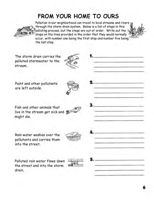### **FROM YOUR HOME TO OURS**



Pollution in our neighborhood can travel to local streams and rivers through the storm drain system. Below is a list of steps in this polluting process, but the steps are out of order. Write out the steps on the lines provided in the order that they would normally occur, with number one being the first step and number five being the last step.

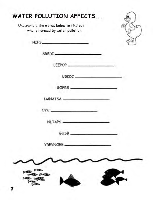| who is harmed by water pollution. | Unscramble the words below to find out |  |
|-----------------------------------|----------------------------------------|--|
|                                   |                                        |  |
| SRBDI-                            |                                        |  |
|                                   | LEEPOP                                 |  |
|                                   | USKDC-                                 |  |
|                                   | GOFRS.                                 |  |
|                                   | LMNAISA                                |  |
| OYU                               |                                        |  |
| <b>NLTAPS</b>                     |                                        |  |
|                                   | GUSB                                   |  |
| <b>YREVNOEE_</b>                  |                                        |  |
|                                   |                                        |  |
|                                   |                                        |  |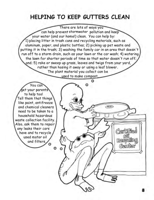### HELPING TO KEEP GUTTERS CLEAN

There are lots of ways you can help prevent stormwater pollution and keep your water (and our home!) clean. You can help by: 1) placing litter in trash cans and recycling materials, such as aluminum, paper, and plastic bottles; 2) picking up pet waste and putting it in the trash; 3) washing the family car in an area that doesn't run off to a storm drain, such as your lawn or the car wash; 4) watering, the lawn for shorter periods of time so that water doesn't run off; and; 5) rake or sweep up grass, leaves and twigs from your yard, rather than hosing it away or using a leaf blower. The plant material you collect can be used to make compost.

You can get your parents to help too! Tell them that things like paint, antifreeze and chemical cleaners need to be taken to a household hazardous waste collection facility. Also, ask them to repair any leaks their cars have and to recycle used motor oil and filters.

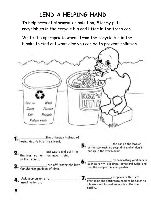# **LEND A HELPING HAND**

To help prevent stormwater pollution, Stormy puts recyclables in the recycle bin and litter in the trash can.

Write the appropriate words from the recycle bin in the blanks to find out what else you can do to prevent pollution.



run off, water the lawn for shorter periods of time.

Ask your parents to used motor oil.

by composting yard debris, such as grass clippings, leaves and twigs, and

use the compost in your garden.

Your a house-hold hazardous waste collection facility.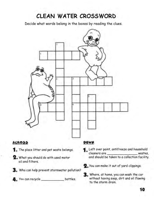## CLEAN WATER CROSSWORD

Decide what words belong in the boxes by reading the clues.



- 2. What you should do with used motor oil and filters.
- 3. Who can help prevent stormwater pollution?
- 4. You can recycle \_\_\_\_\_\_\_\_\_\_\_\_\_\_\_\_\_\_\_\_ bottles.
- Left over paint, antifreeze and household cleaners are the contract of the contract of the contract of the contract of the contract of the contract of the contract of the contract of the contract of the contract of the contract of the contract of the contract of t wastes, and should be taken to a collection facility.
- 2. You can make it out of yard clippings.
- 3. Where, at home, you can wash the car without having soap, dirt and oil flowing to the storm drain.